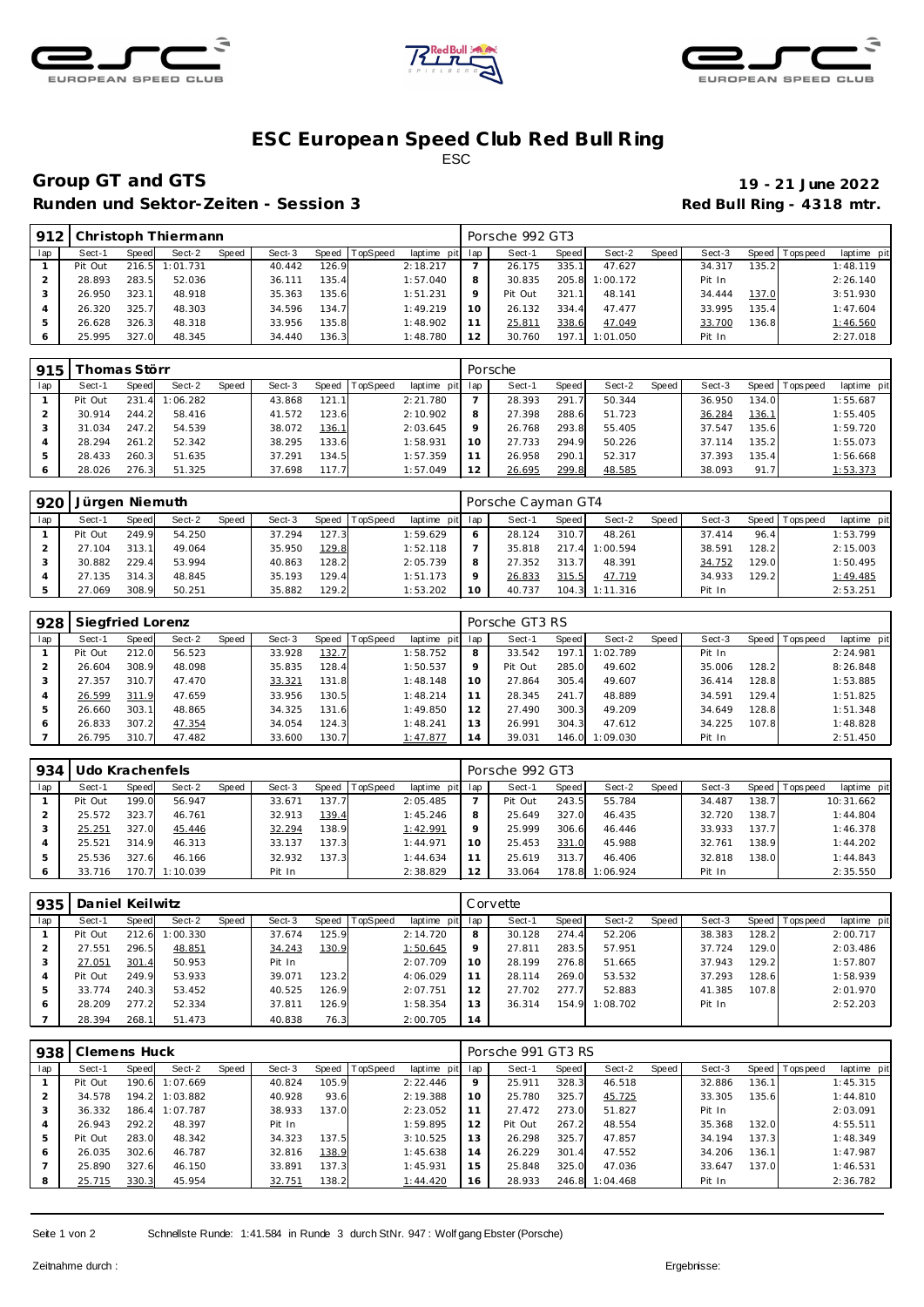





## **ESC European Speed C lub Red Bull R ing** ESC

# **Group GT and GTS 19 - 21 June 2022**

Runden und Sektor-Zeiten - Session 3 **Runden und Sektor-Zeiten - Session 3 Red Bull Ring - 4318 mtr.** 

| 912 |         |       | Christoph Thiermann |       |        |        |          |             |      | Porsche 992 GT3 |       |          |       |        |         |           |             |
|-----|---------|-------|---------------------|-------|--------|--------|----------|-------------|------|-----------------|-------|----------|-------|--------|---------|-----------|-------------|
| lap | Sect-1  | Speed | Sect-2              | Speed | Sect-3 | Speed  | TopSpeed | laptime pit | ∣lap | Sect-1          | Speed | Sect-2   | Speed | Sect-3 | Speed I | Tops peed | laptime pit |
|     | Pit Out |       | 216.5 1:01.731      |       | 40.442 | 126.9  |          | 2:18.217    |      | 26.175          | 335.1 | 47.627   |       | 34.317 | 135.2   |           | 1:48.119    |
|     | 28.893  | 283.5 | 52.036              |       | 36.111 | 135.4  |          | 1:57.040    |      | 30.835          | 205.8 | 1:00.172 |       | Pit In |         |           | 2:26.140    |
|     | 26.950  | 323.1 | 48.918              |       | 35.363 | 135.6  |          | 1:51.231    |      | Pit Out         | 321.1 | 48.141   |       | 34.444 | 137.0   |           | 3:51.930    |
|     | 26.320  | 325.7 | 48.303              |       | 34.596 | 134.7  |          | 1:49.219    | 10   | 26.132          | 334.4 | 47.477   |       | 33.995 | 135.4   |           | 1:47.604    |
|     | 26.628  | 326.3 | 48.318              |       | 33.956 | 135.8  |          | 1:48.902    |      | 25.811          | 338.6 | 47.049   |       | 33.700 | 136.8   |           | 1:46.560    |
|     | 25.995  | 327.0 | 48.345              |       | 34.440 | 136.31 |          | 1:48.780    |      | 30.760          | 197.1 | 1:01.050 |       | Pit In |         |           | 2:27.018    |

| 915 | Thomas Störr |                       |          |       |        |              |                |             |     | Porsche |       |        |       |        |              |                 |             |
|-----|--------------|-----------------------|----------|-------|--------|--------------|----------------|-------------|-----|---------|-------|--------|-------|--------|--------------|-----------------|-------------|
| lap | Sect-1       | Speed                 | Sect-2   | Speed | Sect-3 |              | Speed TopSpeed | laptime pit | lap | Sect-1  | Speed | Sect-2 | Speed | Sect-3 |              | Speed Tops peed | laptime pit |
|     | Pit Out      | 231<br>$\overline{4}$ | 1:06.282 |       | 43.868 | 121.11       |                | 2:21.780    |     | 28.393  | 291.7 | 50.344 |       | 36.950 | 134.0        |                 | 1:55.687    |
|     | 30.914       | 244.2                 | 58.416   |       | 41.572 | 123.6        |                | 2:10.902    | 8   | 27.398  | 288.6 | 51.723 |       | 36.284 | <u>136.1</u> |                 | 1:55.405    |
|     | 31.034       | 247.2                 | 54.539   |       | 38.072 | <u>136.1</u> |                | 2:03.645    | 9   | 26.768  | 293.8 | 55.405 |       | 37.547 | 135.6        |                 | 1:59.720    |
|     | 28.294       | 261.2                 | 52.342   |       | 38.295 | 133.6        |                | 1:58.931    | 10  | 27.733  | 294.9 | 50.226 |       | 37.114 | 135.2        |                 | 1:55.073    |
|     | 28.433       | 260.3                 | 51.635   |       | 37.291 | 134.5        |                | 1:57.359    | 11  | 26.958  | 290.1 | 52.317 |       | 37.393 | 135.4        |                 | 1:56.668    |
| 6   | 28.026       | 276.3                 | 51.325   |       | 37.698 | 117.7        |                | 1:57.049    | 12  | 26.695  | 299.8 | 48.585 |       | 38.093 | 91.7         |                 | 1:53.373    |

| 920 | Jürgen Niemuth |       |        |       |        |       |          |                 |    | Porsche Cayman GT4 |       |          |       |        |         |            |             |
|-----|----------------|-------|--------|-------|--------|-------|----------|-----------------|----|--------------------|-------|----------|-------|--------|---------|------------|-------------|
| lap | Sect-1         | Speed | Sect-2 | Speed | Sect-3 | Speed | TopSpeed | laptime pit lap |    | Sect-1             | Speed | Sect-2   | Speed | Sect-3 | Speed I | Tops pee d | laptime pit |
|     | Pit Out        | 249.9 | 54.250 |       | 37.294 | 127.3 |          | 1:59.629        |    | 28.124             | 310.7 | 48.261   |       | 37.414 | 96.4    |            | 1:53.799    |
|     | 27.104         | 313.1 | 49.064 |       | 35.950 | 129.8 |          | 1:52.118        |    | 35.818             | 217.4 | 1:00.594 |       | 38.591 | 128.2   |            | 2:15.003    |
|     | 30.882         | 229.4 | 53.994 |       | 40.863 | 128.2 |          | 2:05.739        |    | 27.352             | 313.7 | 48.391   |       | 34.752 | 129.0   |            | 1:50.495    |
|     | 27.135         | 314.3 | 48.845 |       | 35.193 | 129.4 |          | 1:51.173        |    | 26.833             | 315.5 | 47.719   |       | 34.933 | 129.2   |            | 1:49.485    |
|     | 27.069         | 308.9 | 50.251 |       | 35.882 | 129.2 |          | 1:53.202        | 10 | 40.737             | 104.3 | 1:11.316 |       | Pit In |         |            | 2:53.251    |

| 928 | Siegfried Lorenz |       |        |       |        |       |          |                 |         | Porsche GT3 RS |       |          |       |        |       |                 |             |
|-----|------------------|-------|--------|-------|--------|-------|----------|-----------------|---------|----------------|-------|----------|-------|--------|-------|-----------------|-------------|
| lap | Sect-1           | Speed | Sect-2 | Speed | Sect-3 | Speed | TopSpeed | laptime pit lap |         | Sect-1         | Speed | Sect-2   | Speed | Sect-3 |       | Speed Tops peed | laptime pit |
|     | Pit Out          | 212.0 | 56.523 |       | 33.928 | 132.7 |          | 1:58.752        | 8       | 33.542         | 197.1 | 1:02.789 |       | Pit In |       |                 | 2:24.981    |
|     | 26.604           | 308.9 | 48.098 |       | 35.835 | 128.4 |          | 1:50.537        | $\circ$ | Pit Out        | 285.0 | 49.602   |       | 35.006 | 128.2 |                 | 8:26.848    |
|     | 27.357           | 310.7 | 47.470 |       | 33.321 | 131.8 |          | 1:48.148        | 10      | 27.864         | 305.4 | 49.607   |       | 36.414 | 128.8 |                 | 1:53.885    |
|     | 26.599           | 311.9 | 47.659 |       | 33.956 | 130.5 |          | 1:48.214        |         | 28.345         | 241.7 | 48.889   |       | 34.591 | 129.4 |                 | 1:51.825    |
|     | 26.660           | 303.1 | 48.865 |       | 34.325 | 131.6 |          | 1:49.850        | 12      | 27.490         | 300.3 | 49.209   |       | 34.649 | 128.8 |                 | 1:51.348    |
| 6   | 26.833           | 307.2 | 47.354 |       | 34.054 | 124.3 |          | 1:48.241        | 13      | 26.991         | 304.3 | 47.612   |       | 34.225 | 107.8 |                 | 1:48.828    |
|     | 26.795           | 310.7 | 47.482 |       | 33.600 | 130.7 |          | 1:47.877        | 14      | 39.031         | 146.0 | 1:09.030 |       | Pit In |       |                 | 2:51.450    |

| 934 | Udo Krachenfels |       |                |       |        |         |                 |                 | Porsche 992 GT3 |       |                |       |        |       |                |             |
|-----|-----------------|-------|----------------|-------|--------|---------|-----------------|-----------------|-----------------|-------|----------------|-------|--------|-------|----------------|-------------|
| lap | Sect-1          | Speed | Sect-2         | Speed | Sect-3 | Speed T | <b>TopSpeed</b> | laptime pit lap | Sect-1          | Speed | Sect-2         | Speed | Sect-3 |       | Speed Topspeed | laptime pit |
|     | Pit Out         | 199.0 | 56.947         |       | 33.671 | 137.7   |                 | 2:05.485        | Pit Out         | 243.5 | 55.784         |       | 34.487 | 138.7 |                | 10:31.662   |
|     | 25.572          | 323.7 | 46.761         |       | 32.913 | 139.4   |                 | 1:45.246        | 25.649          | 327.0 | 46.435         |       | 32.720 | 138.7 |                | 1:44.804    |
|     | 25.251          | 327.0 | 45.446         |       | 32.294 | 138.9   |                 | 1:42.991        | 25.999          | 306.6 | 46.446         |       | 33.933 | 137.7 |                | 1:46.378    |
|     | 25.521          | 314.9 | 46.313         |       | 33.137 | 137.3   |                 | 1:44.971        | 25.453          | 331.0 | 45.988         |       | 32.761 | 138.9 |                | 1:44.202    |
|     | 25.536          | 327.6 | 46.166         |       | 32.932 | 137.3   |                 | 1:44.634        | 25.619          | 313.7 | 46.406         |       | 32.818 | 138.0 |                | 1:44.843    |
|     | 33.716          |       | 170.7 1:10.039 |       | Pit In |         |                 | 2:38.829        | 33.064          |       | 178.8 1:06.924 |       | Pit In |       |                | 2:35.550    |

| 935 | Daniel Keilwitz |       |          |       |        |               |          |             |         | Corvette |       |                |       |        |       |            |             |
|-----|-----------------|-------|----------|-------|--------|---------------|----------|-------------|---------|----------|-------|----------------|-------|--------|-------|------------|-------------|
| lap | Sect-1          | Speed | Sect-2   | Speed | Sect-3 | Speed         | TopSpeed | laptime pit | lap     | Sect-1   | Speed | Sect-2         | Speed | Sect-3 | Speed | T ops peed | laptime pit |
|     | Pit Out         | 212.6 | 1:00.330 |       | 37.674 | 125.9         |          | 2:14.720    | 8       | 30.128   | 274.4 | 52.206         |       | 38.383 | 128.2 |            | 2:00.717    |
|     | 27.551          | 296.5 | 48.851   |       | 34.243 | <u> 130.9</u> |          | 1:50.645    | $\circ$ | 27.811   | 283.5 | 57.951         |       | 37.724 | 129.0 |            | 2:03.486    |
|     | 27.051          | 301.4 | 50.953   |       | Pit In |               |          | 2:07.709    | 10      | 28.199   | 276.8 | 51.665         |       | 37.943 | 129.2 |            | 1:57.807    |
|     | Pit Out         | 249.9 | 53.933   |       | 39.071 | 123.2         |          | 4:06.029    |         | 28.114   | 269.0 | 53.532         |       | 37.293 | 128.6 |            | 1:58.939    |
|     | 33.774          | 240.3 | 53.452   |       | 40.525 | 126.9         |          | 2:07.751    | 12      | 27.702   | 277.7 | 52.883         |       | 41.385 | 107.8 |            | 2:01.970    |
| 6   | 28.209          | 277.2 | 52.334   |       | 37.811 | 126.9         |          | 1:58.354    | 13      | 36.314   |       | 154.9 1:08.702 |       | Pit In |       |            | 2:52.203    |
|     | 28.394          | 268.1 | 51.473   |       | 40.838 | 76.3          |          | 2:00.705    | 14      |          |       |                |       |        |       |            |             |

| 938            | Clemens Huck |       |                |       |        |       |          |             |             | Porsche 991 GT3 RS |       |                |       |        |       |                 |             |
|----------------|--------------|-------|----------------|-------|--------|-------|----------|-------------|-------------|--------------------|-------|----------------|-------|--------|-------|-----------------|-------------|
| lap            | Sect-1       | Speed | Sect-2         | Speed | Sect-3 | Speed | TopSpeed | laptime pit | lap         | Sect-1             | Speed | Sect-2         | Speed | Sect-3 |       | Speed Tops peed | laptime pit |
|                | Pit Out      |       | 190.6 1:07.669 |       | 40.824 | 105.9 |          | 2:22.446    | $\mathsf Q$ | 25.911             | 328.3 | 46.518         |       | 32.886 | 136.1 |                 | 1:45.315    |
|                | 34.578       |       | 194.2 1:03.882 |       | 40.928 | 93.6  |          | 2:19.388    | 10          | 25.780             | 325.7 | 45.725         |       | 33.305 | 135.6 |                 | 1:44.810    |
|                | 36.332       |       | 186.4 1:07.787 |       | 38.933 | 137.0 |          | 2:23.052    |             | 27.472             | 273.0 | 51.827         |       | Pit In |       |                 | 2:03.091    |
| $\overline{A}$ | 26.943       | 292.2 | 48.397         |       | Pit In |       |          | 1:59.895    | 12          | Pit Out            | 267.2 | 48.554         |       | 35.368 | 132.0 |                 | 4:55.511    |
| 5              | Pit Out      | 283.0 | 48.342         |       | 34.323 | 137.5 |          | 3:10.525    | 13          | 26.298             | 325.7 | 47.857         |       | 34.194 | 137.3 |                 | 1:48.349    |
| 6              | 26.035       | 302.6 | 46.787         |       | 32.816 | 138.9 |          | 1:45.638    | 14          | 26.229             | 301.4 | 47.552         |       | 34.206 | 136.1 |                 | 1:47.987    |
|                | 25.890       | 327.6 | 46.150         |       | 33.891 | 137.3 |          | 1:45.931    | 15          | 25.848             | 325.0 | 47.036         |       | 33.647 | 137.0 |                 | 1:46.531    |
| 8              | 25.715       | 330.3 | 45.954         |       | 32.751 | 138.2 |          | 1:44.420    | 16          | 28.933             |       | 246.8 1:04.468 |       | Pit In |       |                 | 2:36.782    |